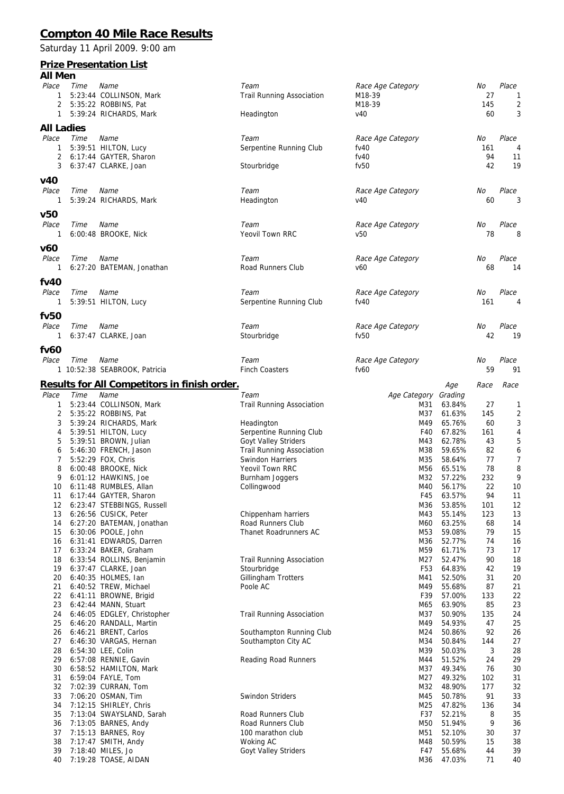## **Compton 40 Mile Race Results**

Saturday 11 April 2009. 9:00 am

## **Prize Presentation List**

| All Men      |      |                                                     |                                        |                      |                  |           |                |
|--------------|------|-----------------------------------------------------|----------------------------------------|----------------------|------------------|-----------|----------------|
| Place        | Time | Name                                                | Team                                   | Race Age Category    |                  | No        | Place          |
| 1            |      | 5:23:44 COLLINSON, Mark                             | <b>Trail Running Association</b>       | M18-39               |                  | 27        | 1              |
| 2            |      | 5:35:22 ROBBINS, Pat                                |                                        | M18-39               |                  | 145       | $\overline{2}$ |
| 1            |      | 5:39:24 RICHARDS, Mark                              | Headington                             | V <sub>40</sub>      |                  | 60        | 3              |
| All Ladies   |      |                                                     |                                        |                      |                  |           |                |
| Place        | Time | Name                                                | Team                                   | Race Age Category    |                  | No        | Place          |
| 1            |      | 5:39:51 HILTON, Lucy                                | Serpentine Running Club                | fv40                 |                  | 161       | 4              |
| 2            |      | 6:17:44 GAYTER, Sharon                              |                                        | fv40                 |                  | 94        | 11             |
| 3            |      | 6:37:47 CLARKE, Joan                                | Stourbridge                            | fv50                 |                  | 42        | 19             |
| v40          |      |                                                     |                                        |                      |                  |           |                |
| Place        | Time | Name                                                | Team                                   | Race Age Category    |                  | No        | Place          |
| -1           |      | 5:39:24 RICHARDS, Mark                              | Headington                             | V <sub>40</sub>      |                  | 60        | 3              |
| v50          |      |                                                     |                                        |                      |                  |           |                |
| Place        | Time | Name                                                | Team                                   | Race Age Category    |                  | No        | Place          |
| -1           |      | 6:00:48 BROOKE, Nick                                | Yeovil Town RRC                        | v50                  |                  | 78        | 8              |
|              |      |                                                     |                                        |                      |                  |           |                |
| v60          |      |                                                     |                                        |                      |                  |           |                |
| Place        | Time | Name                                                | Team                                   | Race Age Category    |                  | No        | Place          |
| 1            |      | 6:27:20 BATEMAN, Jonathan                           | Road Runners Club                      | v60                  |                  | 68        | 14             |
| fV40         |      |                                                     |                                        |                      |                  |           |                |
| Place        | Time | Name                                                | Team                                   | Race Age Category    |                  | No        | Place          |
| 1            |      | 5:39:51 HILTON, Lucy                                | Serpentine Running Club                | fv40                 |                  | 161       | 4              |
| fv50         |      |                                                     |                                        |                      |                  |           |                |
| Place        | Time | Name                                                | Team                                   | Race Age Category    |                  | No        | Place          |
|              |      | 6:37:47 CLARKE, Joan                                | Stourbridge                            | fv50                 |                  | 42        | 19             |
|              |      |                                                     |                                        |                      |                  |           |                |
| fv60         |      |                                                     |                                        |                      |                  |           |                |
| Place        | Time | Name                                                | Team                                   | Race Age Category    |                  | No        | Place          |
|              |      | 1 10:52:38 SEABROOK, Patricia                       | <b>Finch Coasters</b>                  | fv60                 |                  | 59        | 91             |
|              |      | <u>Results for All Competitors in finish order.</u> |                                        |                      | Age              | Race      | Race           |
| Place        | Time | Name                                                | Team                                   | Age Category Grading |                  |           |                |
| $\mathbf{1}$ |      | 5:23:44 COLLINSON, Mark                             | <b>Trail Running Association</b>       | M31                  | 63.84%           | 27        | 1              |
| 2            |      | 5:35:22 ROBBINS, Pat                                |                                        | M37                  | 61.63%           | 145       | $\overline{2}$ |
| 3            |      | 5:39:24 RICHARDS, Mark                              | Headington                             | M49                  | 65.76%           | 60        | 3              |
| 4            |      | 5:39:51 HILTON, Lucy                                | Serpentine Running Club                | F40                  | 67.82%           | 161       | 4              |
| 5            |      | 5:39:51 BROWN, Julian                               | <b>Goyt Valley Striders</b>            | M43                  | 62.78%           | 43        | 5              |
| 6            |      | 5:46:30 FRENCH, Jason                               | <b>Trail Running Association</b>       | M38                  | 59.65%           | 82        | 6              |
| 7            |      | 5:52:29 FOX, Chris                                  | Swindon Harriers                       | M35                  | 58.64%           | 77        | $\overline{7}$ |
| 8            |      | 6:00:48 BROOKE, Nick                                | Yeovil Town RRC                        | M56<br>M32           | 65.51%<br>57.22% | 78<br>232 | 8              |
| 9<br>10      |      | 6:01:12 HAWKINS, Joe<br>6:11:48 RUMBLES, Allan      | Burnham Joggers<br>Collingwood         | M40                  | 56.17%           | 22        | 9<br>10        |
| 11           |      | 6:17:44 GAYTER, Sharon                              |                                        | F45                  | 63.57%           | 94        | 11             |
| 12           |      | 6:23:47 STEBBINGS, Russell                          |                                        | M36                  | 53.85%           | 101       | 12             |
| 13           |      | 6:26:56 CUSICK, Peter                               | Chippenham harriers                    | M43                  | 55.14%           | 123       | 13             |
| 14           |      | 6:27:20 BATEMAN, Jonathan                           | Road Runners Club                      | M60                  | 63.25%           | 68        | 14             |
| 15           |      | 6:30:06 POOLE, John                                 | Thanet Roadrunners AC                  | M53                  | 59.08%           | 79        | 15             |
| 16           |      | 6:31:41 EDWARDS, Darren                             |                                        | M36                  | 52.77%           | 74        | 16             |
| 17           |      | 6:33:24 BAKER, Graham                               |                                        | M59                  | 61.71%           | 73        | 17             |
| 18           |      | 6:33:54 ROLLINS, Benjamin                           | <b>Trail Running Association</b>       | M27                  | 52.47%           | 90        | 18             |
| 19           |      | 6:37:47 CLARKE, Joan                                | Stourbridge                            | F <sub>53</sub>      | 64.83%           | 42        | 19             |
| 20           |      | 6:40:35 HOLMES, Ian                                 | Gillingham Trotters                    | M41                  | 52.50%           | 31        | 20             |
| 21           |      | 6:40:52 TREW, Michael                               | Poole AC                               | M49                  | 55.68%           | 87        | 21             |
| 22           |      | 6:41:11 BROWNE, Brigid<br>6:42:44 MANN, Stuart      |                                        | F39                  | 57.00%           | 133<br>85 | 22             |
| 23<br>24     |      | 6:46:05 EDGLEY, Christopher                         | <b>Trail Running Association</b>       | M65<br>M37           | 63.90%<br>50.90% | 135       | 23<br>24       |
| 25           |      | 6:46:20 RANDALL, Martin                             |                                        | M49                  | 54.93%           | 47        | 25             |
| 26           |      | 6:46:21 BRENT, Carlos                               | Southampton Running Club               | M24                  | 50.86%           | 92        | 26             |
| 27           |      | 6:46:30 VARGAS, Hernan                              | Southampton City AC                    | M34                  | 50.84%           | 144       | 27             |
| 28           |      | 6:54:30 LEE, Colin                                  |                                        | M39                  | 50.03%           | 3         | 28             |
| 29           |      | 6:57:08 RENNIE, Gavin                               | Reading Road Runners                   | M44                  | 51.52%           | 24        | 29             |
| 30           |      | 6:58:52 HAMILTON, Mark                              |                                        | M37                  | 49.34%           | 76        | 30             |
| 31           |      | 6:59:04 FAYLE, Tom                                  |                                        | M27                  | 49.32%           | 102       | 31             |
| 32           |      | 7:02:39 CURRAN, Tom                                 |                                        | M32                  | 48.90%           | 177       | 32             |
| 33           |      | 7:06:20 OSMAN, Tim                                  | Swindon Striders                       | M45                  | 50.78%           | 91        | 33             |
| 34           |      | 7:12:15 SHIRLEY, Chris                              |                                        | M25                  | 47.82%           | 136       | 34             |
| 35           |      | 7:13:04 SWAYSLAND, Sarah                            | Road Runners Club                      | F37                  | 52.21%           | 8<br>9    | 35             |
| 36<br>37     |      | 7:13:05 BARNES, Andy<br>7:15:13 BARNES, Roy         | Road Runners Club<br>100 marathon club | M50<br>M51           | 51.94%<br>52.10% | 30        | 36<br>37       |
| 38           |      | 7:17:47 SMITH, Andy                                 | Woking AC                              | M48                  | 50.59%           | 15        | 38             |
| 39           |      | 7:18:40 MILES, Jo                                   | Goyt Valley Striders                   | F47                  | 55.68%           | 44        | 39             |
| 40           |      | 7:19:28 TOASE, AIDAN                                |                                        | M36                  | 47.03%           | 71        | 40             |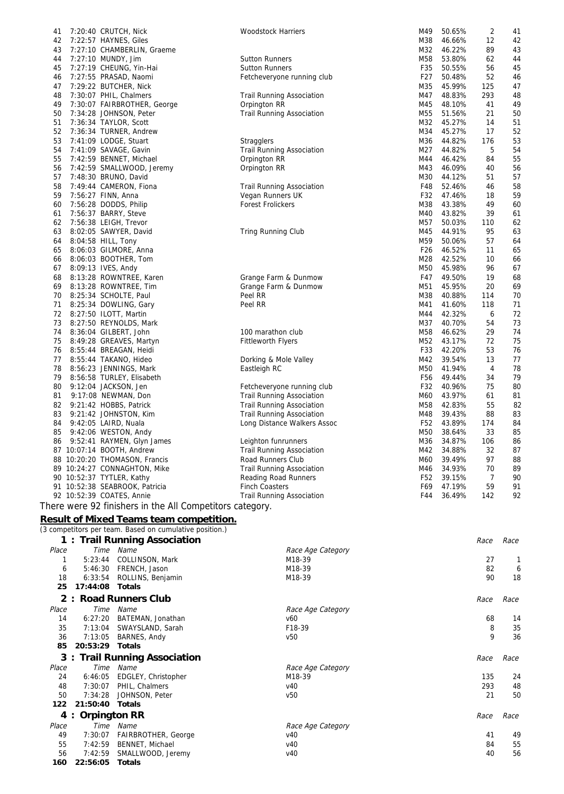| 41       |         | 7:20:40 CRUTCH, Nick                                     | <b>Woodstock Harriers</b>        | M49             | 50.65%           | 2        | 41           |
|----------|---------|----------------------------------------------------------|----------------------------------|-----------------|------------------|----------|--------------|
| 42       |         | 7:22:57 HAYNES, Giles                                    |                                  | M38             | 46.66%           | 12       | 42           |
| 43<br>44 |         | 7:27:10 CHAMBERLIN, Graeme<br>7:27:10 MUNDY, Jim         | <b>Sutton Runners</b>            | M32<br>M58      | 46.22%<br>53.80% | 89<br>62 | 43<br>44     |
| 45       |         | 7:27:19 CHEUNG, Yin-Hai                                  | <b>Sutton Runners</b>            | F35             | 50.55%           | 56       | 45           |
| 46       |         | 7:27:55 PRASAD, Naomi                                    | Fetcheveryone running club       | F27             | 50.48%           | 52       | 46           |
| 47       |         | 7:29:22 BUTCHER, Nick                                    |                                  | M35             | 45.99%           | 125      | 47           |
| 48       |         | 7:30:07 PHIL, Chalmers                                   | Trail Running Association        | M47             | 48.83%           | 293      | 48           |
| 49       |         | 7:30:07 FAIRBROTHER, George                              | Orpington RR                     | M45             | 48.10%           | 41       | 49           |
| 50       |         | 7:34:28 JOHNSON, Peter                                   | <b>Trail Running Association</b> | M55             | 51.56%           | 21       | 50           |
| 51       |         | 7:36:34 TAYLOR, Scott                                    |                                  | M32             | 45.27%           | 14       | 51           |
| 52       |         | 7:36:34 TURNER, Andrew                                   |                                  | M34             | 45.27%           | 17       | 52           |
| 53       |         | 7:41:09 LODGE, Stuart                                    | <b>Stragglers</b>                | M36             | 44.82%           | 176      | 53           |
| 54       |         | 7:41:09 SAVAGE, Gavin                                    | <b>Trail Running Association</b> | M27             | 44.82%           | 5        | 54           |
| 55       |         | 7:42:59 BENNET, Michael                                  | Orpington RR                     | M44             | 46.42%           | 84       | 55           |
| 56       |         | 7:42:59 SMALLWOOD, Jeremy                                | Orpington RR                     | M43             | 46.09%           | 40       | 56           |
| 57       |         | 7:48:30 BRUNO, David                                     |                                  | M30             | 44.12%           | 51       | 57           |
| 58       |         | 7:49:44 CAMERON, Fiona                                   | <b>Trail Running Association</b> | F48             | 52.46%           | 46       | 58           |
| 59       |         | 7:56:27 FINN, Anna                                       | Vegan Runners UK                 | F32             | 47.46%           | 18       | 59           |
| 60       |         | 7:56:28 DODDS, Philip                                    | <b>Forest Frolickers</b>         | M38             | 43.38%           | 49       | 60           |
| 61       |         | 7:56:37 BARRY, Steve                                     |                                  | M40             | 43.82%           | 39       | 61           |
| 62       |         | 7:56:38 LEIGH, Trevor                                    |                                  | M57             | 50.03%           | 110      | 62           |
| 63       |         | 8:02:05 SAWYER, David                                    | Tring Running Club               | M45             | 44.91%           | 95       | 63           |
| 64       |         | 8:04:58 HILL, Tony                                       |                                  | M59             | 50.06%           | 57       | 64           |
| 65       |         | 8:06:03 GILMORE, Anna                                    |                                  | F <sub>26</sub> | 46.52%           | 11       | 65           |
| 66       |         | 8:06:03 BOOTHER, Tom                                     |                                  | M28             | 42.52%           | 10       | 66           |
| 67       |         | 8:09:13 IVES, Andy                                       |                                  | M50             | 45.98%           | 96       | 67           |
| 68       |         | 8:13:28 ROWNTREE, Karen                                  | Grange Farm & Dunmow             | F47             | 49.50%           | 19       | 68           |
| 69       |         | 8:13:28 ROWNTREE, Tim                                    | Grange Farm & Dunmow             | M51             | 45.95%           | 20       | 69           |
| 70       |         | 8:25:34 SCHOLTE, Paul                                    | Peel RR                          | M38             | 40.88%           | 114      | 70           |
| 71       |         | 8:25:34 DOWLING, Gary                                    | Peel RR                          | M41             | 41.60%           | 118      | 71           |
| 72       |         | 8:27:50 ILOTT, Martin                                    |                                  | M44             | 42.32%           | 6        | 72           |
| 73       |         | 8:27:50 REYNOLDS, Mark                                   |                                  | M37             | 40.70%           | 54       | 73           |
| 74       |         | 8:36:04 GILBERT, John                                    | 100 marathon club                | M58             | 46.62%           | 29       | 74           |
| 75       |         | 8:49:28 GREAVES, Martyn                                  | <b>Fittleworth Flyers</b>        | M52             | 43.17%           | 72       | 75           |
| 76       |         | 8:55:44 BREAGAN, Heidi                                   |                                  | F33             | 42.20%           | 53       | 76           |
| 77       |         | 8:55:44 TAKANO, Hideo                                    | Dorking & Mole Valley            | M42             | 39.54%           | 13       | 77           |
| 78       |         | 8:56:23 JENNINGS, Mark                                   | Eastleigh RC                     | M50             | 41.94%           | 4        | 78           |
| 79       |         | 8:56:58 TURLEY, Elisabeth                                |                                  | F <sub>56</sub> | 49.44%           | 34       | 79           |
| 80       |         | 9:12:04 JACKSON, Jen                                     | Fetcheveryone running club       | F32             | 40.96%           | 75       | 80           |
| 81       |         | 9:17:08 NEWMAN, Don                                      | <b>Trail Running Association</b> | M60             | 43.97%           | 61       | 81           |
| 82       |         | 9:21:42 HOBBS, Patrick                                   | <b>Trail Running Association</b> | M58             | 42.83%           | 55       | 82           |
| 83       |         | 9:21:42 JOHNSTON, Kim                                    | <b>Trail Running Association</b> | M48             | 39.43%           | 88       | 83           |
| 84       |         | 9:42:05 LAIRD, Nuala                                     | Long Distance Walkers Assoc      | F52             | 43.89%           | 174      | 84           |
| 85       |         | 9:42:06 WESTON, Andy                                     |                                  | M50             | 38.64%           | 33       | 85           |
| 86       |         | 9:52:41 RAYMEN, Glyn James                               | Leighton funrunners              | M36             | 34.87%           | 106      | 86           |
|          |         | 87 10:07:14 BOOTH, Andrew                                | <b>Trail Running Association</b> | M42             | 34.88%           | 32       | 87           |
|          |         | 88 10:20:20 THOMASON, Francis                            | Road Runners Club                | M60             | 39.49%           | 97       | 88           |
|          |         | 89 10:24:27 CONNAGHTON, Mike                             | <b>Trail Running Association</b> | M46             | 34.93%           | 70       | 89           |
|          |         | 90 10:52:37 TYTLER, Kathy                                | Reading Road Runners             | F <sub>52</sub> | 39.15%           | 7        | 90           |
|          |         | 91 10:52:38 SEABROOK, Patricia                           | <b>Finch Coasters</b>            | F69             | 47.19%           | 59       | 91           |
|          |         | 92 10:52:39 COATES, Annie                                | Trail Running Association        | F44             | 36.49%           | 142      | 92           |
|          |         | There were 92 finishers in the All Competitors category. |                                  |                 |                  |          |              |
|          |         |                                                          |                                  |                 |                  |          |              |
|          |         | Result of Mixed Teams team competition.                  |                                  |                 |                  |          |              |
|          |         | (3 competitors per team. Based on cumulative position.)  |                                  |                 |                  |          |              |
|          |         | 1 : Trail Running Association                            |                                  |                 |                  | Race     | Race         |
| Place    |         | Time Name                                                | Race Age Category                |                 |                  |          |              |
| 1        |         | 5:23:44 COLLINSON, Mark                                  | M18-39                           |                 |                  | 27       | $\mathbf{1}$ |
|          | 6       | 5:46:30 FRENCH, Jason                                    | M18-39                           |                 |                  | 82       | 6            |
| 18       |         | 6:33:54 ROLLINS, Benjamin                                | M18-39                           |                 |                  | 90       | 18           |
| 25       |         | 17:44:08 Totals                                          |                                  |                 |                  |          |              |
|          |         |                                                          |                                  |                 |                  |          |              |
|          | 2:      | <b>Road Runners Club</b>                                 |                                  |                 |                  | Race     | Race         |
| Place    |         | Time Name                                                | Race Age Category                |                 |                  |          |              |
| 14       |         | 6:27:20 BATEMAN, Jonathan                                | v60                              |                 |                  | 68       | 14           |
| 35       |         | 7:13:04 SWAYSLAND, Sarah                                 | F18-39                           |                 |                  | 8        | 35           |
| 36       |         | 7:13:05 BARNES, Andy                                     | v50                              |                 |                  | 9        | 36           |
| 85       |         | 20:53:29 Totals                                          |                                  |                 |                  |          |              |
|          |         | 3: Trail Running Association                             |                                  |                 |                  | Race     | Race         |
| Place    |         | Time Name                                                | Race Age Category                |                 |                  |          |              |
| 24       |         | 6:46:05 EDGLEY, Christopher                              | M18-39                           |                 |                  | 135      | 24           |
| 48       |         | 7:30:07 PHIL, Chalmers                                   | V <sub>40</sub>                  |                 |                  | 293      | 48           |
| 50       | 7:34:28 | JOHNSON, Peter                                           | v50                              |                 |                  | 21       | 50           |
| 122      |         | 21:50:40 Totals                                          |                                  |                 |                  |          |              |
|          |         | 4 : Orpington RR                                         |                                  |                 |                  | Race     | Race         |
| Place    |         | Time Name                                                | Race Age Category                |                 |                  |          |              |
| 49       |         | 7:30:07 FAIRBROTHER, George                              | v40                              |                 |                  | 41       | 49           |
| 55       |         | 7:42:59 BENNET, Michael                                  | v40                              |                 |                  | 84       | 55           |
| 56       |         | 7:42:59<br>SMALLWOOD, Jeremy                             | V <sub>40</sub>                  |                 |                  | 40       | 56           |
|          |         |                                                          |                                  |                 |                  |          |              |
| 160      |         | 22:56:05 Totals                                          |                                  |                 |                  |          |              |